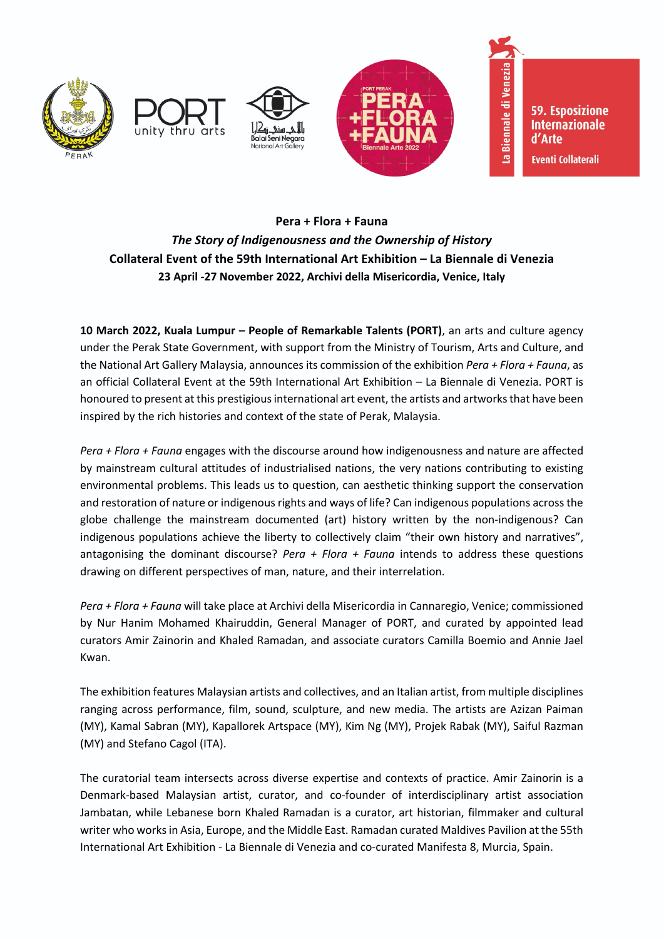







**59. Esposizione Internazionale** d'Arte **Eventi Collaterali** 

Venezia

La Biennale di

## **Pera + Flora + Fauna** *The Story of Indigenousness and the Ownership of History* **Collateral Event of the 59th International Art Exhibition – La Biennale di Venezia 23 April -27 November 2022, Archivi della Misericordia, Venice, Italy**

**10 March 2022, Kuala Lumpur – People of Remarkable Talents (PORT)**, an arts and culture agency under the Perak State Government, with support from the Ministry of Tourism, Arts and Culture, and the National Art Gallery Malaysia, announces its commission of the exhibition *Pera + Flora + Fauna*, as an official Collateral Event at the 59th International Art Exhibition – La Biennale di Venezia. PORT is honoured to present at this prestigious international art event, the artists and artworks that have been inspired by the rich histories and context of the state of Perak, Malaysia.

*Pera + Flora + Fauna* engages with the discourse around how indigenousness and nature are affected by mainstream cultural attitudes of industrialised nations, the very nations contributing to existing environmental problems. This leads us to question, can aesthetic thinking support the conservation and restoration of nature or indigenous rights and ways of life? Can indigenous populations across the globe challenge the mainstream documented (art) history written by the non-indigenous? Can indigenous populations achieve the liberty to collectively claim "their own history and narratives", antagonising the dominant discourse? *Pera + Flora + Fauna* intends to address these questions drawing on different perspectives of man, nature, and their interrelation.

*Pera + Flora + Fauna* will take place at Archivi della Misericordia in Cannaregio, Venice; commissioned by Nur Hanim Mohamed Khairuddin, General Manager of PORT, and curated by appointed lead curators Amir Zainorin and Khaled Ramadan, and associate curators Camilla Boemio and Annie Jael Kwan.

The exhibition features Malaysian artists and collectives, and an Italian artist, from multiple disciplines ranging across performance, film, sound, sculpture, and new media. The artists are Azizan Paiman (MY), Kamal Sabran (MY), Kapallorek Artspace (MY), Kim Ng (MY), Projek Rabak (MY), Saiful Razman (MY) and Stefano Cagol (ITA).

The curatorial team intersects across diverse expertise and contexts of practice. Amir Zainorin is a Denmark-based Malaysian artist, curator, and co-founder of interdisciplinary artist association Jambatan, while Lebanese born Khaled Ramadan is a curator, art historian, filmmaker and cultural writer who works in Asia, Europe, and the Middle East. Ramadan curated Maldives Pavilion at the 55th International Art Exhibition - La Biennale di Venezia and co-curated Manifesta 8, Murcia, Spain.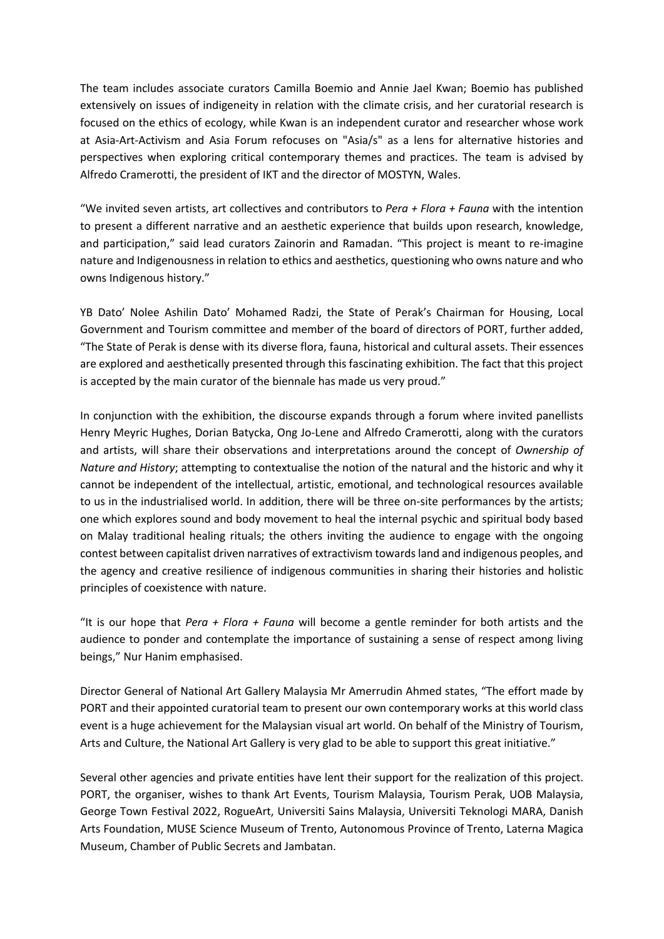The team includes associate curators Camilla Boemio and Annie Jael Kwan; Boemio has published extensively on issues of indigeneity in relation with the climate crisis, and her curatorial research is focused on the ethics of ecology, while Kwan is an independent curator and researcher whose work at Asia-Art-Activism and Asia Forum refocuses on "Asia/s" as a lens for alternative histories and perspectives when exploring critical contemporary themes and practices. The team is advised by Alfredo Cramerotti, the president of IKT and the director of MOSTYN, Wales.

"We invited seven artists, art collectives and contributors to *Pera + Flora + Fauna* with the intention to present a different narrative and an aesthetic experience that builds upon research, knowledge, and participation," said lead curators Zainorin and Ramadan. "This project is meant to re-imagine nature and Indigenousness in relation to ethics and aesthetics, questioning who owns nature and who owns Indigenous history."

YB Dato' Nolee Ashilin Dato' Mohamed Radzi, the State of Perak's Chairman for Housing, Local Government and Tourism committee and member of the board of directors of PORT, further added, "The State of Perak is dense with its diverse flora, fauna, historical and cultural assets. Their essences are explored and aesthetically presented through this fascinating exhibition. The fact that this project is accepted by the main curator of the biennale has made us very proud."

In conjunction with the exhibition, the discourse expands through a forum where invited panellists Henry Meyric Hughes, Dorian Batycka, Ong Jo-Lene and Alfredo Cramerotti, along with the curators and artists, will share their observations and interpretations around the concept of *Ownership of Nature and History*; attempting to contextualise the notion of the natural and the historic and why it cannot be independent of the intellectual, artistic, emotional, and technological resources available to us in the industrialised world. In addition, there will be three on-site performances by the artists; one which explores sound and body movement to heal the internal psychic and spiritual body based on Malay traditional healing rituals; the others inviting the audience to engage with the ongoing contest between capitalist driven narratives of extractivism towards land and indigenous peoples, and the agency and creative resilience of indigenous communities in sharing their histories and holistic principles of coexistence with nature.

"It is our hope that *Pera + Flora + Fauna* will become a gentle reminder for both artists and the audience to ponder and contemplate the importance of sustaining a sense of respect among living beings," Nur Hanim emphasised.

Director General of National Art Gallery Malaysia Mr Amerrudin Ahmed states, "The effort made by PORT and their appointed curatorial team to present our own contemporary works at this world class event is a huge achievement for the Malaysian visual art world. On behalf of the Ministry of Tourism, Arts and Culture, the National Art Gallery is very glad to be able to support this great initiative."

Several other agencies and private entities have lent their support for the realization of this project. PORT, the organiser, wishes to thank Art Events, Tourism Malaysia, Tourism Perak, UOB Malaysia, George Town Festival 2022, RogueArt, Universiti Sains Malaysia, Universiti Teknologi MARA, Danish Arts Foundation, MUSE Science Museum of Trento, Autonomous Province of Trento, Laterna Magica Museum, Chamber of Public Secrets and Jambatan.